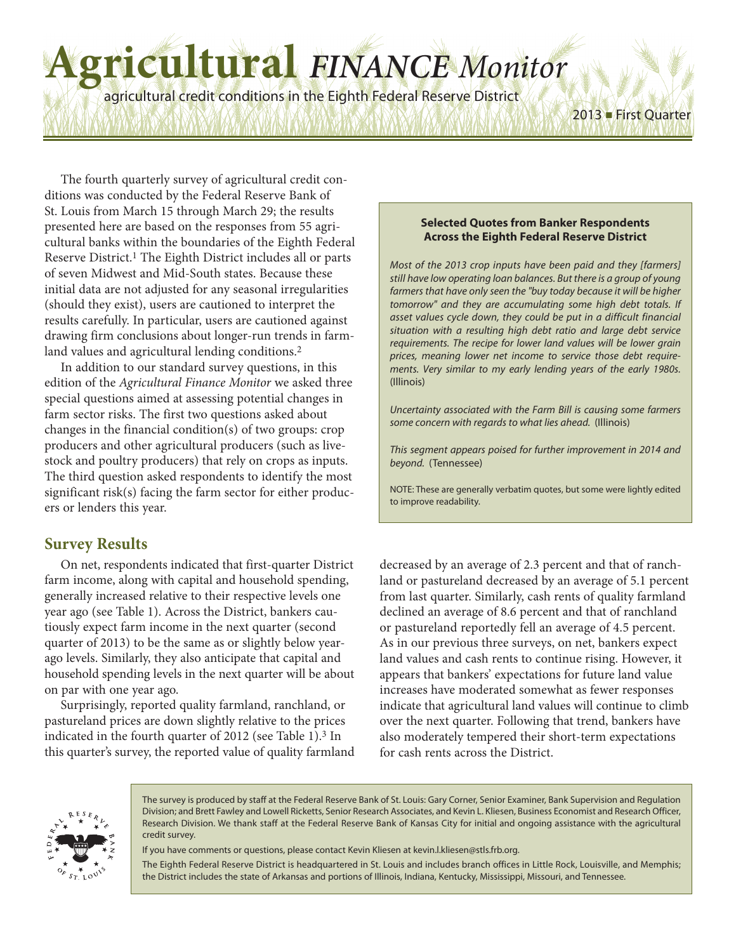# **Agricultural** *FINANCE Monitor*

agricultural credit conditions in the Eighth Federal Reserve District

The fourth quarterly survey of agricultural credit conditions was conducted by the Federal Reserve Bank of St. Louis from March 15 through March 29; the results presented here are based on the responses from 55 agricultural banks within the boundaries of the Eighth Federal Reserve District. 1 The Eighth District includes all or parts of seven Midwest and Mid-South states. Because these initial data are not adjusted for any seasonal irregularities (should they exist), users are cautioned to interpret the results carefully. In particular, users are cautioned against drawing firm conclusions about longer-run trends in farmland values and agricultural lending conditions. 2

In addition to our standard survey questions, in this edition of the *Agricultural Finance Monitor* we asked three special questions aimed at assessing potential changes in farm sector risks. The first two questions asked about changes in the financial condition(s) of two groups: crop producers and other agricultural producers (such as livestock and poultry producers) that rely on crops as inputs. The third question asked respondents to identify the most significant risk(s) facing the farm sector for either producers or lenders this year.

### **Survey Results**

On net, respondents indicated that first-quarter District farm income, along with capital and household spending, generally increased relative to their respective levels one year ago (see Table 1). Across the District, bankers cautiously expect farm income in the next quarter (second quarter of 2013) to be the same as or slightly below yearago levels. Similarly, they also anticipate that capital and household spending levels in the next quarter will be about on par with one year ago.

Surprisingly, reported quality farmland, ranchland, or pastureland prices are down slightly relative to the prices indicated in the fourth quarter of 2012 (see Table 1). 3 In this quarter's survey, the reported value of quality farmland

#### **Selected Quotes from Banker Respondents Across the Eighth Federal Reserve District**

2013 ■ First Quarter

*Most of the 2013 crop inputs have been paid and they [farmers] still have low operating loan balances. But there is a group of young farmers that have only seen the "buy today because it will be higher tomorrow" and they are accumulating some high debt totals. If asset values cycle down, they could be put in a difficult financial situation with a resulting high debt ratio and large debt service requirements. The recipe for lower land values will be lower grain prices, meaning lower net income to service those debt requirements. Very similar to my early lending years of the early 1980s.* (Illinois)

*Uncertainty associated with the Farm Bill is causing some farmers some concern with regards to what lies ahead.* (Illinois)

*This segment appears poised for further improvement in 2014 and beyond.* (Tennessee)

NOTE: These are generally verbatim quotes, but some were lightly edited to improve readability.

decreased by an average of 2.3 percent and that of ranchland or pastureland decreased by an average of 5.1 percent from last quarter. Similarly, cash rents of quality farmland declined an average of 8.6 percent and that of ranchland or pastureland reportedly fell an average of 4.5 percent. As in our previous three surveys, on net, bankers expect land values and cash rents to continue rising. However, it appears that bankers' expectations for future land value increases have moderated somewhat as fewer responses indicate that agricultural land values will continue to climb over the next quarter. Following that trend, bankers have also moderately tempered their short-term expectations for cash rents across the District.



The survey is produced by staff at the Federal Reserve Bank of St. Louis: Gary Corner, Senior Examiner, Bank Supervision and Regulation Division; and Brett Fawley and Lowell Ricketts, Senior Research Associates, and Kevin L. Kliesen, Business Economist and Research Officer, Research Division. We thank staff at the Federal Reserve Bank of Kansas City for initial and ongoing assistance with the agricultural credit survey.

If you have comments or questions, please contact Kevin Kliesen at kevin.l.kliesen@stls.frb.org.

The Eighth Federal Reserve District is headquartered in St. Louis and includes branch offices in Little Rock, Louisville, and Memphis; the District includes the state of Arkansas and portions of Illinois, Indiana, Kentucky, Mississippi, Missouri, and Tennessee.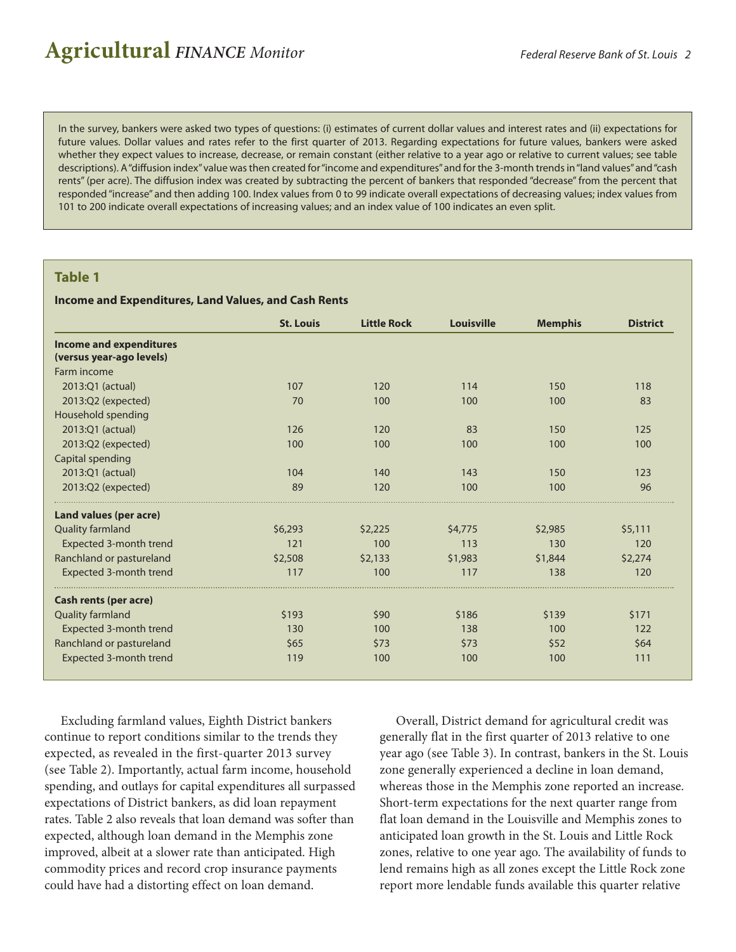# **Agricultural** *FINANCE Monitor Federal Reserve Bank of St. Louis <sup>2</sup>*

In the survey, bankers were asked two types of questions: (i) estimates of current dollar values and interest rates and (ii) expectations for future values. Dollar values and rates refer to the first quarter of 2013. Regarding expectations for future values, bankers were asked whether they expect values to increase, decrease, or remain constant (either relative to a year ago or relative to current values; see table descriptions). A"diffusion index"value wasthen created for"income and expenditures"and for the 3-month trendsin"land values"and"cash rents" (per acre). The diffusion index was created by subtracting the percent of bankers that responded "decrease" from the percent that responded"increase" and then adding 100. Index values from 0 to 99 indicate overall expectations of decreasing values; index values from 101 to 200 indicate overall expectations of increasing values; and an index value of 100 indicates an even split.

#### **Table 1**

#### **Income and Expenditures, Land Values, and Cash Rents**

|                                | <b>St. Louis</b> | <b>Little Rock</b> | <b>Louisville</b> | <b>Memphis</b> | <b>District</b> |
|--------------------------------|------------------|--------------------|-------------------|----------------|-----------------|
| <b>Income and expenditures</b> |                  |                    |                   |                |                 |
| (versus year-ago levels)       |                  |                    |                   |                |                 |
| Farm income                    |                  |                    |                   |                |                 |
| 2013:Q1 (actual)               | 107              | 120                | 114               | 150            | 118             |
| 2013:Q2 (expected)             | 70               | 100                | 100               | 100            | 83              |
| Household spending             |                  |                    |                   |                |                 |
| 2013:Q1 (actual)               | 126              | 120                | 83                | 150            | 125             |
| 2013:Q2 (expected)             | 100              | 100                | 100               | 100            | 100             |
| Capital spending               |                  |                    |                   |                |                 |
| 2013:Q1 (actual)               | 104              | 140                | 143               | 150            | 123             |
| 2013:Q2 (expected)             | 89               | 120                | 100               | 100            | 96              |
| Land values (per acre)         |                  |                    |                   |                |                 |
| <b>Quality farmland</b>        | \$6,293          | \$2,225            | \$4,775           | \$2,985        | \$5,111         |
| Expected 3-month trend         | 121              | 100                | 113               | 130            | 120             |
| Ranchland or pastureland       | \$2,508          | \$2,133            | \$1,983           | \$1,844        | \$2,274         |
| Expected 3-month trend         | 117              | 100                | 117               | 138            | 120             |
| <b>Cash rents (per acre)</b>   |                  |                    |                   |                |                 |
| <b>Quality farmland</b>        | \$193            | \$90               | \$186             | \$139          | \$171           |
| Expected 3-month trend         | 130              | 100                | 138               | 100            | 122             |
| Ranchland or pastureland       | \$65             | \$73               | \$73              | \$52           | \$64            |
| Expected 3-month trend         | 119              | 100                | 100               | 100            | 111             |

Excluding farmland values, Eighth District bankers continue to report conditions similar to the trends they expected, as revealed in the first-quarter 2013 survey (see Table 2). Importantly, actual farm income, household spending, and outlays for capital expenditures all surpassed expectations of District bankers, as did loan repayment rates. Table 2 also reveals that loan demand was softer than expected, although loan demand in the Memphis zone improved, albeit at a slower rate than anticipated. High commodity prices and record crop insurance payments could have had a distorting effect on loan demand.

Overall, District demand for agricultural credit was generally flat in the first quarter of 2013 relative to one year ago (see Table 3). In contrast, bankers in the St. Louis zone generally experienced a decline in loan demand, whereas those in the Memphis zone reported an increase. Short-term expectations for the next quarter range from flat loan demand in the Louisville and Memphis zones to anticipated loan growth in the St. Louis and Little Rock zones, relative to one year ago. The availability of funds to lend remains high as all zones except the Little Rock zone report more lendable funds available this quarter relative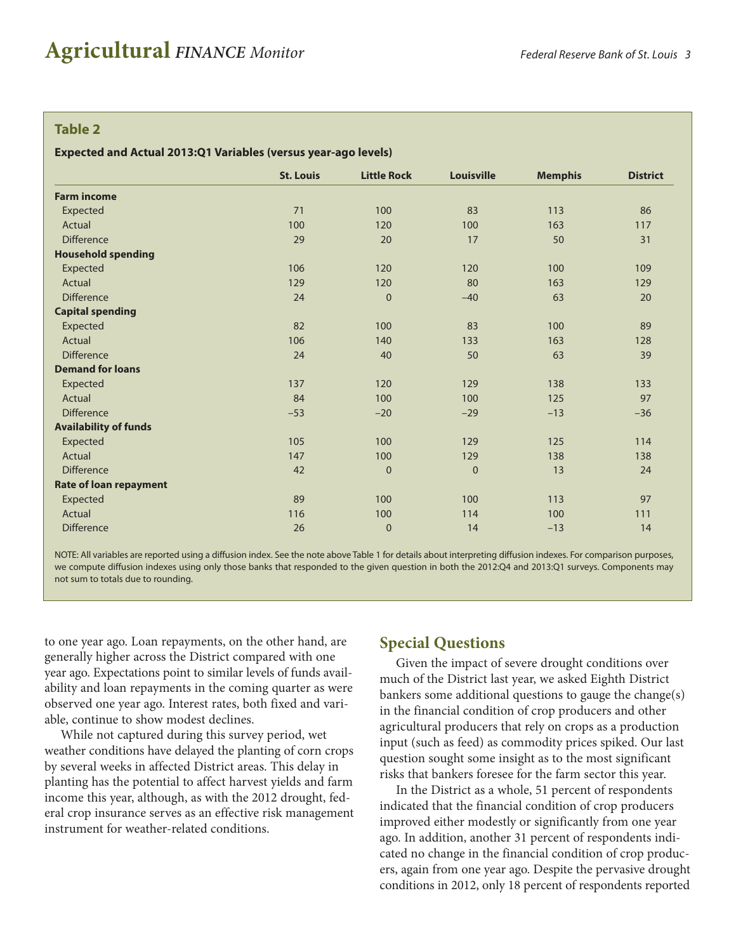#### **Table 2**

#### **Expected and Actual 2013:Q1 Variables (versus year-ago levels)**

|                               | <b>St. Louis</b> | <b>Little Rock</b> | <b>Louisville</b> | <b>Memphis</b> | <b>District</b> |  |  |
|-------------------------------|------------------|--------------------|-------------------|----------------|-----------------|--|--|
| <b>Farm income</b>            |                  |                    |                   |                |                 |  |  |
| Expected                      | 71               | 100                | 83                | 113            | 86              |  |  |
| Actual                        | 100              | 120                | 100               | 163            | 117             |  |  |
| <b>Difference</b>             | 29               | 20                 | 17                | 50             | 31              |  |  |
| <b>Household spending</b>     |                  |                    |                   |                |                 |  |  |
| Expected                      | 106              | 120                | 120               | 100            | 109             |  |  |
| Actual                        | 129              | 120                | 80                | 163            | 129             |  |  |
| <b>Difference</b>             | 24               | $\mathbf{0}$       | $-40$             | 63             | 20              |  |  |
| <b>Capital spending</b>       |                  |                    |                   |                |                 |  |  |
| Expected                      | 82               | 100                | 83                | 100            | 89              |  |  |
| Actual                        | 106              | 140                | 133               | 163            | 128             |  |  |
| <b>Difference</b>             | 24               | 40                 | 50                | 63             | 39              |  |  |
| <b>Demand for loans</b>       |                  |                    |                   |                |                 |  |  |
| Expected                      | 137              | 120                | 129               | 138            | 133             |  |  |
| Actual                        | 84               | 100                | 100               | 125            | 97              |  |  |
| <b>Difference</b>             | $-53$            | $-20$              | $-29$             | $-13$          | $-36$           |  |  |
| <b>Availability of funds</b>  |                  |                    |                   |                |                 |  |  |
| Expected                      | 105              | 100                | 129               | 125            | 114             |  |  |
| Actual                        | 147              | 100                | 129               | 138            | 138             |  |  |
| <b>Difference</b>             | 42               | $\mathbf{0}$       | $\mathbf 0$       | 13             | 24              |  |  |
| <b>Rate of loan repayment</b> |                  |                    |                   |                |                 |  |  |
| Expected                      | 89               | 100                | 100               | 113            | 97              |  |  |
| Actual                        | 116              | 100                | 114               | 100            | 111             |  |  |
| <b>Difference</b>             | 26               | $\mathbf{0}$       | 14                | $-13$          | 14              |  |  |
|                               |                  |                    |                   |                |                 |  |  |

NOTE: All variables are reported using a diffusion index. See the note above Table 1 for details about interpreting diffusion indexes. For comparison purposes, we compute diffusion indexes using only those banks that responded to the given question in both the 2012:Q4 and 2013:Q1 surveys. Components may not sum to totals due to rounding.

to one year ago. Loan repayments, on the other hand, are generally higher across the District compared with one year ago. Expectations point to similar levels of funds availability and loan repayments in the coming quarter as were observed one year ago. Interest rates, both fixed and variable, continue to show modest declines.

While not captured during this survey period, wet weather conditions have delayed the planting of corn crops by several weeks in affected District areas. This delay in planting has the potential to affect harvest yields and farm income this year, although, as with the 2012 drought, federal crop insurance serves as an effective risk management instrument for weather-related conditions.

#### **Special Questions**

Given the impact of severe drought conditions over much of the District last year, we asked Eighth District bankers some additional questions to gauge the change(s) in the financial condition of crop producers and other agricultural producers that rely on crops as a production input (such as feed) as commodity prices spiked. Our last question sought some insight as to the most significant risks that bankers foresee for the farm sector this year.

In the District as a whole, 51 percent of respondents indicated that the financial condition of crop producers improved either modestly or significantly from one year ago. In addition, another 31 percent of respondents indicated no change in the financial condition of crop producers, again from one year ago. Despite the pervasive drought conditions in 2012, only 18 percent of respondents reported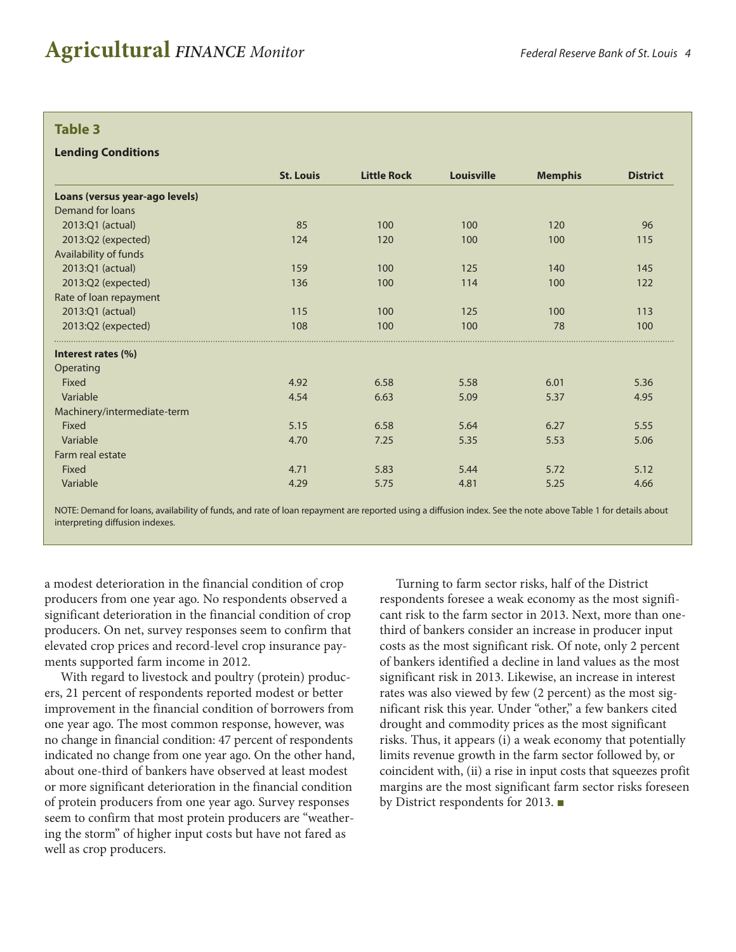#### **Table 3**

#### **Lending Conditions**

|                                | <b>St. Louis</b> | <b>Little Rock</b> | <b>Louisville</b> | <b>Memphis</b> | <b>District</b> |
|--------------------------------|------------------|--------------------|-------------------|----------------|-----------------|
| Loans (versus year-ago levels) |                  |                    |                   |                |                 |
| Demand for loans               |                  |                    |                   |                |                 |
| 2013:Q1 (actual)               | 85               | 100                | 100               | 120            | 96              |
| 2013:Q2 (expected)             | 124              | 120                | 100               | 100            | 115             |
| Availability of funds          |                  |                    |                   |                |                 |
| 2013:Q1 (actual)               | 159              | 100                | 125               | 140            | 145             |
| 2013:Q2 (expected)             | 136              | 100                | 114               | 100            | 122             |
| Rate of loan repayment         |                  |                    |                   |                |                 |
| 2013:Q1 (actual)               | 115              | 100                | 125               | 100            | 113             |
| 2013:Q2 (expected)             | 108              | 100                | 100               | 78             | 100             |
| Interest rates (%)             |                  |                    |                   |                |                 |
| Operating                      |                  |                    |                   |                |                 |
| Fixed                          | 4.92             | 6.58               | 5.58              | 6.01           | 5.36            |
| Variable                       | 4.54             | 6.63               | 5.09              | 5.37           | 4.95            |
| Machinery/intermediate-term    |                  |                    |                   |                |                 |
| Fixed                          | 5.15             | 6.58               | 5.64              | 6.27           | 5.55            |
| Variable                       | 4.70             | 7.25               | 5.35              | 5.53           | 5.06            |
| Farm real estate               |                  |                    |                   |                |                 |
| Fixed                          | 4.71             | 5.83               | 5.44              | 5.72           | 5.12            |
| Variable                       | 4.29             | 5.75               | 4.81              | 5.25           | 4.66            |

NOTE: Demand for loans, availability of funds, and rate of loan repayment are reported using a diffusion index. See the note above Table 1 for details about interpreting diffusion indexes.

a modest deterioration in the financial condition of crop producers from one year ago. No respondents observed a significant deterioration in the financial condition of crop producers. On net, survey responses seem to confirm that elevated crop prices and record-level crop insurance payments supported farm income in 2012.

With regard to livestock and poultry (protein) producers, 21 percent of respondents reported modest or better improvement in the financial condition of borrowers from one year ago. The most common response, however, was no change in financial condition: 47 percent of respondents indicated no change from one year ago. On the other hand, about one-third of bankers have observed at least modest or more significant deterioration in the financial condition of protein producers from one year ago. Survey responses seem to confirm that most protein producers are "weathering the storm" of higher input costs but have not fared as well as crop producers.

Turning to farm sector risks, half of the District respondents foresee a weak economy as the most significant risk to the farm sector in 2013. Next, more than onethird of bankers consider an increase in producer input costs as the most significant risk. Of note, only 2 percent of bankers identified a decline in land values as the most significant risk in 2013. Likewise, an increase in interest rates was also viewed by few (2 percent) as the most significant risk this year. Under "other," a few bankers cited drought and commodity prices as the most significant risks. Thus, it appears (i) a weak economy that potentially limits revenue growth in the farm sector followed by, or coincident with, (ii) a rise in input costs that squeezes profit margins are the most significant farm sector risks foreseen by District respondents for 2013. ■